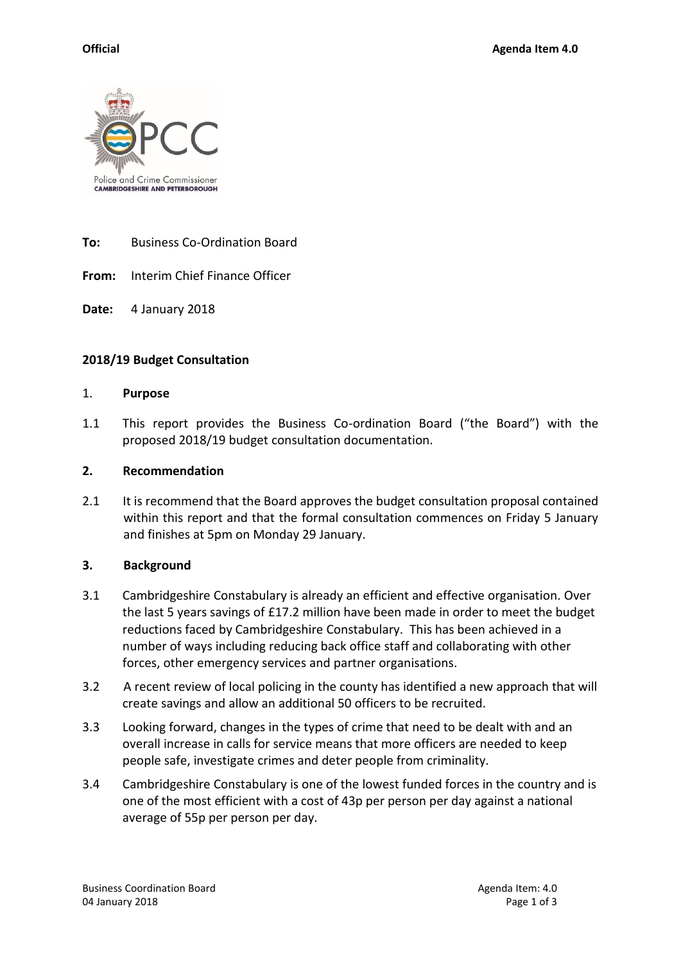

**To:** Business Co-Ordination Board

**From:** Interim Chief Finance Officer

**Date:** 4 January 2018

### **2018/19 Budget Consultation**

#### 1. **Purpose**

1.1 This report provides the Business Co-ordination Board ("the Board") with the proposed 2018/19 budget consultation documentation.

### **2. Recommendation**

2.1 It is recommend that the Board approves the budget consultation proposal contained within this report and that the formal consultation commences on Friday 5 January and finishes at 5pm on Monday 29 January.

### **3. Background**

- 3.1 Cambridgeshire Constabulary is already an efficient and effective organisation. Over the last 5 years savings of £17.2 million have been made in order to meet the budget reductions faced by Cambridgeshire Constabulary. This has been achieved in a number of ways including reducing back office staff and collaborating with other forces, other emergency services and partner organisations.
- 3.2 A recent review of local policing in the county has identified a new approach that will create savings and allow an additional 50 officers to be recruited.
- 3.3 Looking forward, changes in the types of crime that need to be dealt with and an overall increase in calls for service means that more officers are needed to keep people safe, investigate crimes and deter people from criminality.
- 3.4 Cambridgeshire Constabulary is one of the lowest funded forces in the country and is one of the most efficient with a cost of 43p per person per day against a national average of 55p per person per day.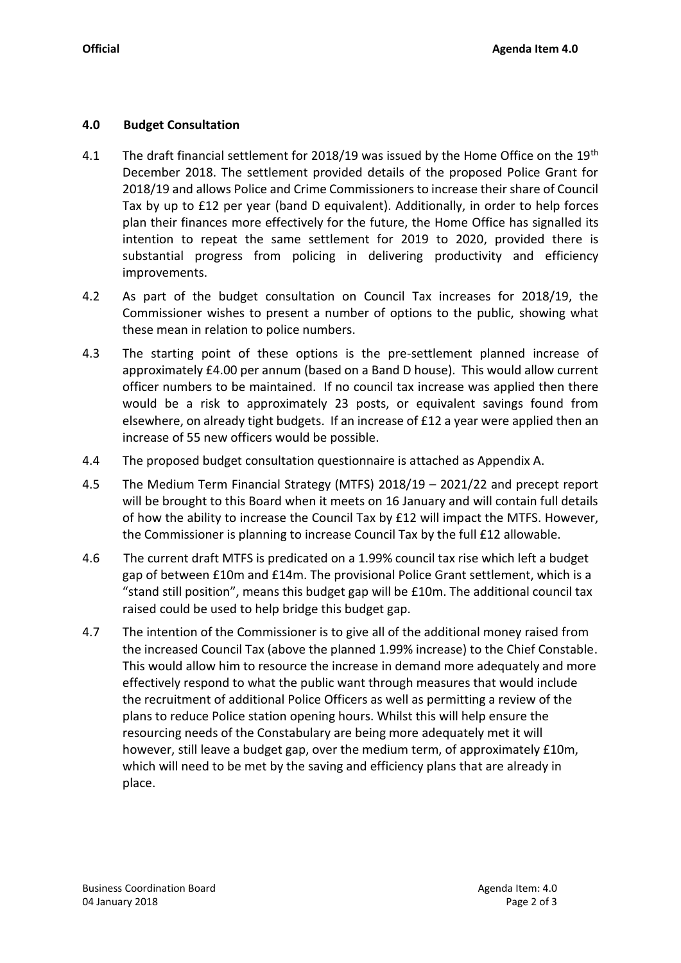# **4.0 Budget Consultation**

- 4.1 The draft financial settlement for 2018/19 was issued by the Home Office on the 19<sup>th</sup> December 2018. The settlement provided details of the proposed Police Grant for 2018/19 and allows Police and Crime Commissioners to increase their share of Council Tax by up to £12 per year (band D equivalent). Additionally, in order to help forces plan their finances more effectively for the future, the Home Office has signalled its intention to repeat the same settlement for 2019 to 2020, provided there is substantial progress from policing in delivering productivity and efficiency improvements.
- 4.2 As part of the budget consultation on Council Tax increases for 2018/19, the Commissioner wishes to present a number of options to the public, showing what these mean in relation to police numbers.
- 4.3 The starting point of these options is the pre-settlement planned increase of approximately £4.00 per annum (based on a Band D house). This would allow current officer numbers to be maintained. If no council tax increase was applied then there would be a risk to approximately 23 posts, or equivalent savings found from elsewhere, on already tight budgets. If an increase of £12 a year were applied then an increase of 55 new officers would be possible.
- 4.4 The proposed budget consultation questionnaire is attached as Appendix A.
- 4.5 The Medium Term Financial Strategy (MTFS) 2018/19 2021/22 and precept report will be brought to this Board when it meets on 16 January and will contain full details of how the ability to increase the Council Tax by £12 will impact the MTFS. However, the Commissioner is planning to increase Council Tax by the full £12 allowable.
- 4.6 The current draft MTFS is predicated on a 1.99% council tax rise which left a budget gap of between £10m and £14m. The provisional Police Grant settlement, which is a "stand still position", means this budget gap will be £10m. The additional council tax raised could be used to help bridge this budget gap.
- 4.7 The intention of the Commissioner is to give all of the additional money raised from the increased Council Tax (above the planned 1.99% increase) to the Chief Constable. This would allow him to resource the increase in demand more adequately and more effectively respond to what the public want through measures that would include the recruitment of additional Police Officers as well as permitting a review of the plans to reduce Police station opening hours. Whilst this will help ensure the resourcing needs of the Constabulary are being more adequately met it will however, still leave a budget gap, over the medium term, of approximately £10m, which will need to be met by the saving and efficiency plans that are already in place.